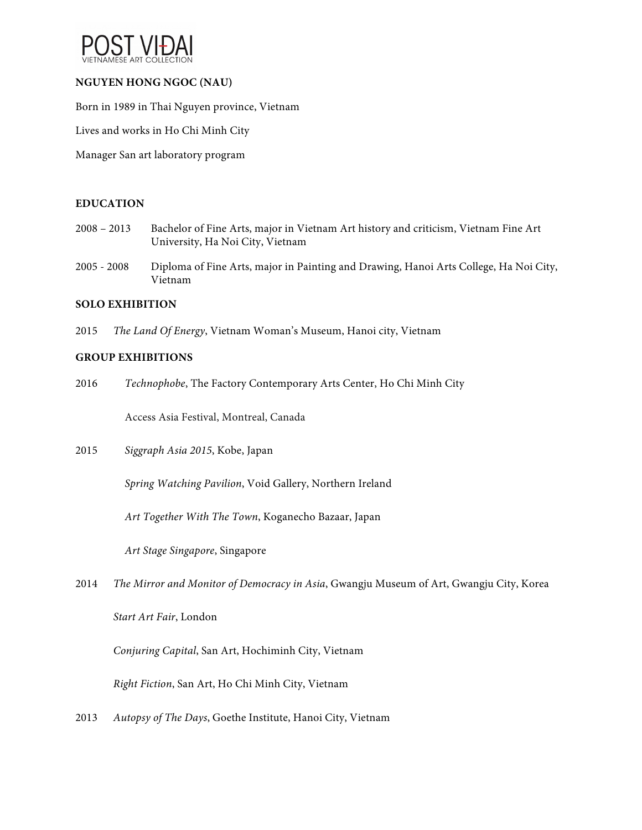

# **NGUYEN HONG NGOC (NAU)**

Born in 1989 in Thai Nguyen province, Vietnam

Lives and works in Ho Chi Minh City

Manager San art laboratory program

#### **EDUCATION**

- 2008 2013 Bachelor of Fine Arts, major in Vietnam Art history and criticism, Vietnam Fine Art University, Ha Noi City, Vietnam
- 2005 2008 Diploma of Fine Arts, major in Painting and Drawing, Hanoi Arts College, Ha Noi City, Vietnam

#### **SOLO EXHIBITION**

2015 *The Land Of Energy*, Vietnam Woman's Museum, Hanoi city, Vietnam

### **GROUP EXHIBITIONS**

2016 *Technophobe*, The Factory Contemporary Arts Center, Ho Chi Minh City

Access Asia Festival, Montreal, Canada

2015 *Siggraph Asia 2015*, Kobe, Japan

*Spring Watching Pavilion*, Void Gallery, Northern Ireland

*Art Together With The Town*, Koganecho Bazaar, Japan

*Art Stage Singapore*, Singapore

2014 *The Mirror and Monitor of Democracy in Asia*, Gwangju Museum of Art, Gwangju City, Korea

*Start Art Fair*, London

*Conjuring Capital*, San Art, Hochiminh City, Vietnam

*Right Fiction*, San Art, Ho Chi Minh City, Vietnam

2013 *Autopsy of The Days*, Goethe Institute, Hanoi City, Vietnam